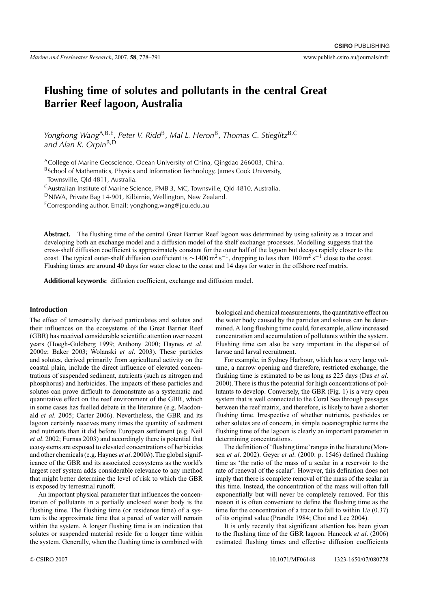# **Flushing time of solutes and pollutants in the central Great Barrier Reef lagoon, Australia**

*Yonghong Wang*A,B,E, *Peter V. Ridd*B, *Mal L. Heron*B, *Thomas C. Stieglitz*B,C *and Alan R. Orpin*B,D

<sup>A</sup>College of Marine Geoscience, Ocean University of China, Qingdao 266003, China.

BSchool of Mathematics, Physics and Information Technology, James Cook University,

Townsville, Qld 4811, Australia.

 $C$ Australian Institute of Marine Science, PMB 3, MC, Townsville, Qld 4810, Australia.

DNIWA, Private Bag 14-901, Kilbirnie, Wellington, New Zealand.

 $E$ Corresponding author. Email: yonghong.wang@jcu.edu.au

**Abstract.** The flushing time of the central Great Barrier Reef lagoon was determined by using salinity as a tracer and developing both an exchange model and a diffusion model of the shelf exchange processes. Modelling suggests that the cross-shelf diffusion coefficient is approximately constant for the outer half of the lagoon but decays rapidly closer to the coast. The typical outer-shelf diffusion coefficient is  $\sim$ 1400 m<sup>2</sup> s<sup>−1</sup>, dropping to less than 100 m<sup>2</sup> s<sup>−1</sup> close to the coast. Flushing times are around 40 days for water close to the coast and 14 days for water in the offshore reef matrix.

**Additional keywords:** diffusion coefficient, exchange and diffusion model.

## **Introduction**

The effect of terrestrially derived particulates and solutes and their influences on the ecosystems of the Great Barrier Reef (GBR) has received considerable scientific attention over recent years (Hoegh-Guldberg 1999; Anthony 2000; Haynes *et al*. 2000*a*; Baker 2003; Wolanski *et al*. 2003). These particles and solutes, derived primarily from agricultural activity on the coastal plain, include the direct influence of elevated concentrations of suspended sediment, nutrients (such as nitrogen and phosphorus) and herbicides. The impacts of these particles and solutes can prove difficult to demonstrate as a systematic and quantitative effect on the reef environment of the GBR, which in some cases has fuelled debate in the literature (e.g. Macdonald *et al*. 2005; Carter 2006). Nevertheless, the GBR and its lagoon certainly receives many times the quantity of sediment and nutrients than it did before European settlement (e.g. Neil *et al*. 2002; Furnas 2003) and accordingly there is potential that ecosystems are exposed to elevated concentrations of herbicides and other chemicals (e.g. Haynes *et al*. 2000*b*).The global significance of the GBR and its associated ecosystems as the world's largest reef system adds considerable relevance to any method that might better determine the level of risk to which the GBR is exposed by terrestrial runoff.

An important physical parameter that influences the concentration of pollutants in a partially enclosed water body is the flushing time. The flushing time (or residence time) of a system is the approximate time that a parcel of water will remain within the system. A longer flushing time is an indication that solutes or suspended material reside for a longer time within the system. Generally, when the flushing time is combined with biological and chemical measurements, the quantitative effect on the water body caused by the particles and solutes can be determined. A long flushing time could, for example, allow increased concentration and accumulation of pollutants within the system. Flushing time can also be very important in the dispersal of larvae and larval recruitment.

For example, in Sydney Harbour, which has a very large volume, a narrow opening and therefore, restricted exchange, the flushing time is estimated to be as long as 225 days (Das *et al*. 2000). There is thus the potential for high concentrations of pollutants to develop. Conversely, the GBR (Fig. 1) is a very open system that is well connected to the Coral Sea through passages between the reef matrix, and therefore, is likely to have a shorter flushing time. Irrespective of whether nutrients, pesticides or other solutes are of concern, in simple oceanographic terms the flushing time of the lagoon is clearly an important parameter in determining concentrations.

The definition of 'flushing time'ranges in the literature (Monsen *et al*. 2002). Geyer *et al*. (2000: p. 1546) defined flushing time as 'the ratio of the mass of a scalar in a reservoir to the rate of renewal of the scalar'. However, this definition does not imply that there is complete removal of the mass of the scalar in this time. Instead, the concentration of the mass will often fall exponentially but will never be completely removed. For this reason it is often convenient to define the flushing time as the time for the concentration of a tracer to fall to within 1/*e* (0.37) of its original value (Prandle 1984; Choi and Lee 2004).

It is only recently that significant attention has been given to the flushing time of the GBR lagoon. Hancock *et al*. (2006) estimated flushing times and effective diffusion coefficients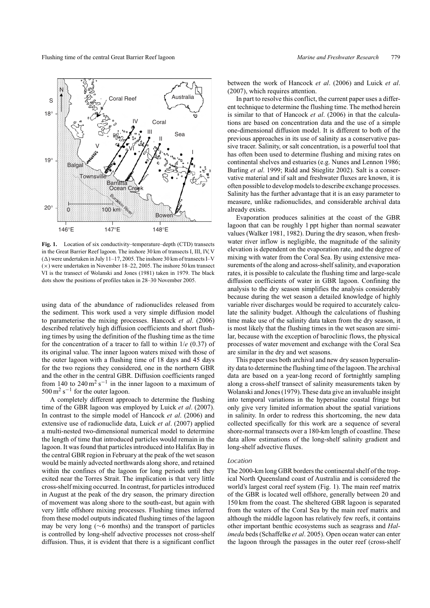Flushing time of the central Great Barrier Reef lagoon *Marine and Freshwater Research* 779



**Fig. 1.** Location of six conductivity–temperature–depth (CTD) transects in the Great Barrier Reef lagoon. The inshore 30 km of transects I, III, IV, V  $(\Delta)$  were undertaken in July 11–17, 2005. The inshore 30 km of transects I–V  $(x)$  were undertaken in November 18–22, 2005. The inshore 50 km transect VI is the transect of Wolanski and Jones (1981) taken in 1979. The black dots show the positions of profiles taken in 28–30 November 2005.

using data of the abundance of radionuclides released from the sediment. This work used a very simple diffusion model to parameterise the mixing processes. Hancock *et al*. (2006) described relatively high diffusion coefficients and short flushing times by using the definition of the flushing time as the time for the concentration of a tracer to fall to within 1/*e* (0.37) of its original value. The inner lagoon waters mixed with those of the outer lagoon with a flushing time of 18 days and 45 days for the two regions they considered, one in the northern GBR and the other in the central GBR. Diffusion coefficients ranged from 140 to 240 m<sup>2</sup> s<sup>-1</sup> in the inner lagoon to a maximum of  $500 \,\mathrm{m}^2 \,\mathrm{s}^{-1}$  for the outer lagoon.

A completely different approach to determine the flushing time of the GBR lagoon was employed by Luick *et al*. (2007). In contrast to the simple model of Hancock *et al*. (2006) and extensive use of radionuclide data, Luick *et al*. (2007) applied a multi-nested two-dimensional numerical model to determine the length of time that introduced particles would remain in the lagoon. It was found that particles introduced into Halifax Bay in the central GBR region in February at the peak of the wet season would be mainly advected northwards along shore, and retained within the confines of the lagoon for long periods until they exited near the Torres Strait. The implication is that very little cross-shelf mixing occurred. In contrast, for particles introduced in August at the peak of the dry season, the primary direction of movement was along shore to the south-east, but again with very little offshore mixing processes. Flushing times inferred from these model outputs indicated flushing times of the lagoon may be very long (∼6 months) and the transport of particles is controlled by long-shelf advective processes not cross-shelf diffusion. Thus, it is evident that there is a significant conflict between the work of Hancock *et al*. (2006) and Luick *et al*. (2007), which requires attention.

In part to resolve this conflict, the current paper uses a different technique to determine the flushing time. The method herein is similar to that of Hancock *et al*. (2006) in that the calculations are based on concentration data and the use of a simple one-dimensional diffusion model. It is different to both of the previous approaches in its use of salinity as a conservative passive tracer. Salinity, or salt concentration, is a powerful tool that has often been used to determine flushing and mixing rates on continental shelves and estuaries (e.g. Nunes and Lennon 1986; Burling *et al*. 1999; Ridd and Stieglitz 2002). Salt is a conservative material and if salt and freshwater fluxes are known, it is often possible to develop models to describe exchange processes. Salinity has the further advantage that it is an easy parameter to measure, unlike radionuclides, and considerable archival data already exists.

Evaporation produces salinities at the coast of the GBR lagoon that can be roughly 1 ppt higher than normal seawater values (Walker 1981, 1982). During the dry season, when freshwater river inflow is negligible, the magnitude of the salinity elevation is dependent on the evaporation rate, and the degree of mixing with water from the Coral Sea. By using extensive measurements of the along and across-shelf salinity, and evaporation rates, it is possible to calculate the flushing time and large-scale diffusion coefficients of water in GBR lagoon. Confining the analysis to the dry season simplifies the analysis considerably because during the wet season a detailed knowledge of highly variable river discharges would be required to accurately calculate the salinity budget. Although the calculations of flushing time make use of the salinity data taken from the dry season, it is most likely that the flushing times in the wet season are similar, because with the exception of baroclinic flows, the physical processes of water movement and exchange with the Coral Sea are similar in the dry and wet seasons.

This paper uses both archival and new dry season hypersalinity data to determine the flushing time of the lagoon.The archival data are based on a year-long record of fortnightly sampling along a cross-shelf transect of salinity measurements taken by Wolanski and Jones (1979).These data give an invaluable insight into temporal variations in the hypersaline coastal fringe but only give very limited information about the spatial variations in salinity. In order to redress this shortcoming, the new data collected specifically for this work are a sequence of several shore-normal transects over a 180-km length of coastline. These data allow estimations of the long-shelf salinity gradient and long-shelf advective fluxes.

## *Location*

The 2000-km long GBR borders the continental shelf of the tropical North Queensland coast of Australia and is considered the world's largest coral reef system (Fig. 1). The main reef matrix of the GBR is located well offshore, generally between 20 and 150 km from the coast. The sheltered GBR lagoon is separated from the waters of the Coral Sea by the main reef matrix and although the middle lagoon has relatively few reefs, it contains other important benthic ecosystems such as seagrass and *Halimeda* beds (Schaffelke *et al*. 2005). Open ocean water can enter the lagoon through the passages in the outer reef (cross-shelf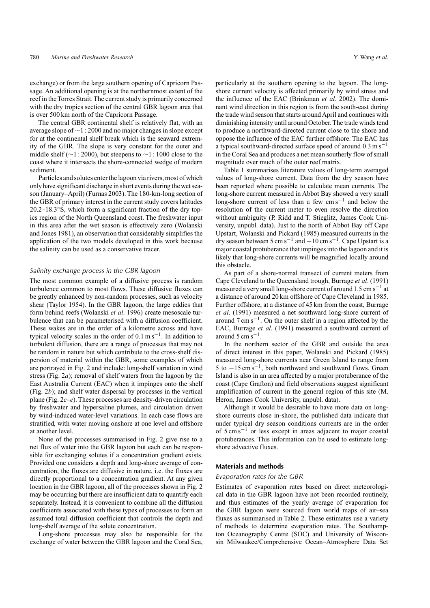exchange) or from the large southern opening of Capricorn Passage. An additional opening is at the northernmost extent of the reef in the Torres Strait. The current study is primarily concerned with the dry tropics section of the central GBR lagoon area that is over 500 km north of the Capricorn Passage.

The central GBR continental shelf is relatively flat, with an average slope of ∼1 : 2000 and no major changes in slope except for at the continental shelf break which is the seaward extremity of the GBR. The slope is very constant for the outer and middle shelf ( $\sim$ 1 : 2000), but steepens to  $\sim$ 1 : 1000 close to the coast where it intersects the shore-connected wedge of modern sediment.

Particles and solutes enter the lagoon via rivers, most of which only have significant discharge in short events during the wet season (January–April) (Furnas 2003). The 180-km-long section of the GBR of primary interest in the current study covers latitudes 20.2–18.3◦S, which form a significant fraction of the dry topics region of the North Queensland coast. The freshwater input in this area after the wet season is effectively zero (Wolanski and Jones 1981), an observation that considerably simplifies the application of the two models developed in this work because the salinity can be used as a conservative tracer.

### *Salinity exchange process in the GBR lagoon*

The most common example of a diffusive process is random turbulence common to most flows. These diffusive fluxes can be greatly enhanced by non-random processes, such as velocity shear (Taylor 1954). In the GBR lagoon, the large eddies that form behind reefs (Wolanski *et al*. 1996) create mesoscale turbulence that can be parameterised with a diffusion coefficient. These wakes are in the order of a kilometre across and have typical velocity scales in the order of  $0.1 \text{ m s}^{-1}$ . In addition to turbulent diffusion, there are a range of processes that may not be random in nature but which contribute to the cross-shelf dispersion of material within the GBR, some examples of which are portrayed in Fig. 2 and include: long-shelf variation in wind stress (Fig. 2*a*); removal of shelf waters from the lagoon by the East Australia Current (EAC) when it impinges onto the shelf (Fig. 2*b*); and shelf water dispersal by processes in the vertical plane (Fig. 2*c*–*e*). These processes are density-driven circulation by freshwater and hypersaline plumes, and circulation driven by wind-induced water-level variations. In each case flows are stratified, with water moving onshore at one level and offshore at another level.

None of the processes summarised in Fig. 2 give rise to a net flux of water into the GBR lagoon but each can be responsible for exchanging solutes if a concentration gradient exists. Provided one considers a depth and long-shore average of concentration, the fluxes are diffusive in nature, i.e. the fluxes are directly proportional to a concentration gradient. At any given location in the GBR lagoon, all of the processes shown in Fig. 2 may be occurring but there are insufficient data to quantify each separately. Instead, it is convenient to combine all the diffusion coefficients associated with these types of processes to form an assumed total diffusion coefficient that controls the depth and long-shelf average of the solute concentration.

Long-shore processes may also be responsible for the exchange of water between the GBR lagoon and the Coral Sea, particularly at the southern opening to the lagoon. The longshore current velocity is affected primarily by wind stress and the influence of the EAC (Brinkman *et al*. 2002). The dominant wind direction in this region is from the south-east during the trade wind season that starts around April and continues with diminishing intensity until around October. The trade winds tend to produce a northward-directed current close to the shore and oppose the influence of the EAC further offshore. The EAC has a typical southward-directed surface speed of around  $0.3 \text{ m s}^{-1}$ in the Coral Sea and produces a net mean southerly flow of small magnitude over much of the outer reef matrix.

Table 1 summarises literature values of long-term averaged values of long-shore current. Data from the dry season have been reported where possible to calculate mean currents. The long-shore current measured in Abbot Bay showed a very small long-shore current of less than a few cm s−<sup>1</sup> and below the resolution of the current meter to even resolve the direction without ambiguity (P. Ridd and T. Stieglitz, James Cook University, unpubl. data). Just to the north of Abbot Bay off Cape Upstart, Wolanski and Pickard (1985) measured currents in the dry season between 5 cm s<sup>-1</sup> and  $-10$  cm s<sup>-1</sup>. Cape Upstart is a major coastal protuberance that impinges into the lagoon and it is likely that long-shore currents will be magnified locally around this obstacle.

As part of a shore-normal transect of current meters from Cape Cleveland to the Queensland trough, Burrage *et al*. (1991) measured a very small long-shore current of around 1.5 cm s−<sup>1</sup> at a distance of around 20 km offshore of Cape Cleveland in 1985. Further offshore, at a distance of 45 km from the coast, Burrage *et al*. (1991) measured a net southward long-shore current of around 7 cm s<sup>−</sup>1. On the outer shelf in a region affected by the EAC, Burrage *et al*. (1991) measured a southward current of around  $5 \text{ cm s}^{-1}$ .

In the northern sector of the GBR and outside the area of direct interest in this paper, Wolanski and Pickard (1985) measured long-shore currents near Green Island to range from 5 to −15 cm s<sup>−</sup>1, both northward and southward flows. Green Island is also in an area affected by a major protuberance of the coast (Cape Grafton) and field observations suggest significant amplification of current in the general region of this site (M. Heron, James Cook University, unpubl. data).

Although it would be desirable to have more data on longshore currents close in-shore, the published data indicate that under typical dry season conditions currents are in the order of  $5 \text{ cm s}^{-1}$  or less except in areas adjacent to major coastal protuberances. This information can be used to estimate longshore advective fluxes.

# **Materials and methods**

## *Evaporation rates for the GBR*

Estimates of evaporation rates based on direct meteorological data in the GBR lagoon have not been recorded routinely, and thus estimates of the yearly average of evaporation for the GBR lagoon were sourced from world maps of air–sea fluxes as summarised in Table 2. These estimates use a variety of methods to determine evaporation rates. The Southampton Oceanography Centre (SOC) and University of Wisconsin Milwaukee/Comprehensive Ocean–Atmosphere Data Set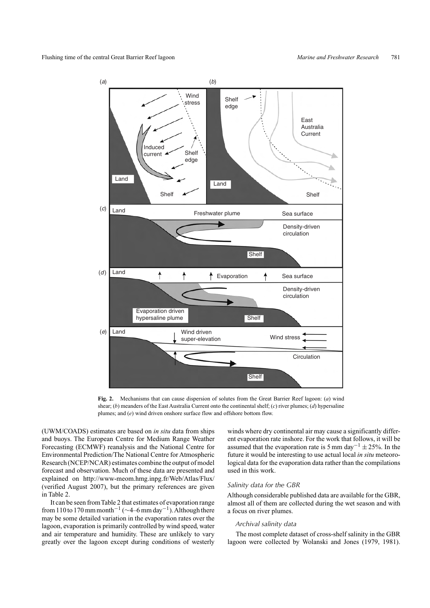

**Fig. 2.** Mechanisms that can cause dispersion of solutes from the Great Barrier Reef lagoon: (*a*) wind shear; (*b*) meanders of the East Australia Current onto the continental shelf; (*c*) river plumes; (*d*) hypersaline plumes; and (*e*) wind driven onshore surface flow and offshore bottom flow.

(UWM/COADS) estimates are based on *in situ* data from ships and buoys. The European Centre for Medium Range Weather Forecasting (ECMWF) reanalysis and the National Centre for Environmental Prediction/The National Centre for Atmospheric Research (NCEP/NCAR) estimates combine the output of model forecast and observation. Much of these data are presented and explained on http://www-meom.hmg.inpg.fr/Web/Atlas/Flux/ (verified August 2007), but the primary references are given in Table 2.

It can be seen fromTable 2 that estimates of evaporation range from 110 to 170 mm month<sup>-1</sup> ( $\sim$ 4–6 mm day<sup>-1</sup>). Although there may be some detailed variation in the evaporation rates over the lagoon, evaporation is primarily controlled by wind speed, water and air temperature and humidity. These are unlikely to vary greatly over the lagoon except during conditions of westerly

winds where dry continental air may cause a significantly different evaporation rate inshore. For the work that follows, it will be assumed that the evaporation rate is 5 mm day<sup>-1</sup> ± 25%. In the future it would be interesting to use actual local *in situ* meteorological data for the evaporation data rather than the compilations used in this work.

# *Salinity data for the GBR*

Although considerable published data are available for the GBR, almost all of them are collected during the wet season and with a focus on river plumes.

# *Archival salinity data*

The most complete dataset of cross-shelf salinity in the GBR lagoon were collected by Wolanski and Jones (1979, 1981).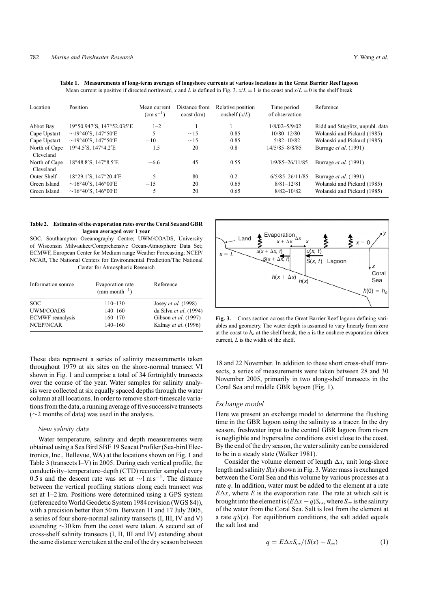| Location                   | Position                                                 | Mean current<br>$\rm (cm\; s^{-1})$ | Distance from<br>$\cos(t)$ | Relative position<br>onshelf $(x/L)$ | Time period<br>of observation | Reference                        |
|----------------------------|----------------------------------------------------------|-------------------------------------|----------------------------|--------------------------------------|-------------------------------|----------------------------------|
| Abbot Bay                  | 19°50.947'S, 147°52.035'E                                | $1 - 2$                             |                            |                                      | $1/8/02 - 5/9/02$             | Ridd and Stieglitz, unpubl. data |
| Cape Upstart               | $\sim$ 19°40'S, 147°50'E                                 | 5                                   | $\sim$ 15                  | 0.85                                 | $10/80 - 12/80$               | Wolanski and Pickard (1985)      |
| Cape Upstart               | $\sim$ 19°40'S, 147°50'E                                 | $-10$                               | $\sim$ 15                  | 0.85                                 | $5/82 - 10/82$                | Wolanski and Pickard (1985)      |
| North of Cape<br>Cleveland | 19°4.5'S, 147°4.2'E                                      | 1.5                                 | 20                         | 0.8                                  | 14/5/85-8/8/85                | Burrage <i>et al.</i> (1991)     |
| North of Cape<br>Cleveland | $18^{\circ}48.8^{\prime}$ S. $147^{\circ}8.5^{\prime}$ E | $-6.6$                              | 45                         | 0.55                                 | $1/9/85 - 26/11/85$           | Burrage <i>et al.</i> (1991)     |
| Outer Shelf                | 18°29.1'S, 147°20.4'E                                    | $-5$                                | 80                         | 0.2                                  | $6/5/85 - 26/11/85$           | Burrage et al. (1991)            |
| Green Island               | $\sim$ 16°40'S, 146°00'E                                 | $-15$                               | 20                         | 0.65                                 | $8/81 - 12/81$                | Wolanski and Pickard (1985)      |
| Green Island               | $\sim$ 16°40'S, 146°00'E                                 | 5                                   | 20                         | 0.65                                 | $8/82 - 10/82$                | Wolanski and Pickard (1985)      |

**Table 1. Measurements of long-term averages of longshore currents at various locations in the Great Barrier Reef lagoon** Mean current is positive if directed northward, *x* and *L* is defined in Fig. 3.  $x/L = 1$  is the coast and  $x/L = 0$  is the shelf break

#### **Table 2. Estimates of the evaporation rates over the Coral Sea and GBR lagoon averaged over 1 year**

SOC, Southampton Oceanography Centre; UWM/COADS, University of Wisconsin Milwaukee/Comprehensive Ocean-Atmosphere Data Set; ECMWF, European Center for Medium range Weather Forecasting; NCEP/ NCAR, The National Centers for Environmental Prediction/The National Center for Atmospheric Research

| Information source      | Evaporation rate<br>(mm month <sup>-1</sup> ) | Reference              |
|-------------------------|-----------------------------------------------|------------------------|
| SOC.                    | $110 - 130$                                   | Josey et al. (1998)    |
| UWM/COADS               | $140 - 160$                                   | da Silva et al. (1994) |
| <b>ECMWF</b> reanalysis | $160 - 170$                                   | Gibson et al. (1997)   |
| <b>NCEP/NCAR</b>        | $140 - 160$                                   | Kalnay et al. (1996)   |

These data represent a series of salinity measurements taken throughout 1979 at six sites on the shore-normal transect VI shown in Fig. 1 and comprise a total of 34 fortnightly transects over the course of the year. Water samples for salinity analysis were collected at six equally spaced depths through the water column at all locations. In order to remove short-timescale variations from the data, a running average of five successive transects (∼2 months of data) was used in the analysis.

## *New salinity data*

Water temperature, salinity and depth measurements were obtained using a Sea Bird SBE 19 Seacat Profiler (Sea-bird Electronics, Inc., Bellevue, WA) at the locations shown on Fig. 1 and Table 3 (transects I–V) in 2005. During each vertical profile, the conductivity–temperature–depth (CTD) recorder sampled every 0.5 s and the descent rate was set at  $\sim$ 1 ms<sup>-1</sup>. The distance between the vertical profiling stations along each transect was set at 1–2 km. Positions were determined using a GPS system (referenced to World Geodetic System 1984 revision (WGS 84)), with a precision better than 50 m. Between 11 and 17 July 2005, a series of four shore-normal salinity transects (I, III, IV and V) extending ∼30 km from the coast were taken. A second set of cross-shelf salinity transects (I, II, III and IV) extending about the same distance were taken at the end of the dry season between



**Fig. 3.** Cross section across the Great Barrier Reef lagoon defining variables and geometry. The water depth is assumed to vary linearly from zero at the coast to  $h_0$  at the shelf break, the *u* is the onshore evaporation driven current, *L* is the width of the shelf.

18 and 22 November. In addition to these short cross-shelf transects, a series of measurements were taken between 28 and 30 November 2005, primarily in two along-shelf transects in the Coral Sea and middle GBR lagoon (Fig. 1).

#### *Exchange model*

Here we present an exchange model to determine the flushing time in the GBR lagoon using the salinity as a tracer. In the dry season, freshwater input to the central GBR lagoon from rivers is negligible and hypersaline conditions exist close to the coast. By the end of the dry season, the water salinity can be considered to be in a steady state (Walker 1981).

Consider the volume element of length  $\Delta x$ , unit long-shore length and salinity *S*(*x*) shown in Fig. 3. Water mass is exchanged between the Coral Sea and this volume by various processes at a rate *q*. In addition, water must be added to the element at a rate  $E\Delta x$ , where *E* is the evaporation rate. The rate at which salt is brought into the element is  $(E\Delta x + q)S_{cs}$ , where  $S_{cs}$  is the salinity of the water from the Coral Sea. Salt is lost from the element at a rate  $qS(x)$ . For equilibrium conditions, the salt added equals the salt lost and

$$
q = E\Delta x S_{cs}/(S(x) - S_{cs})
$$
 (1)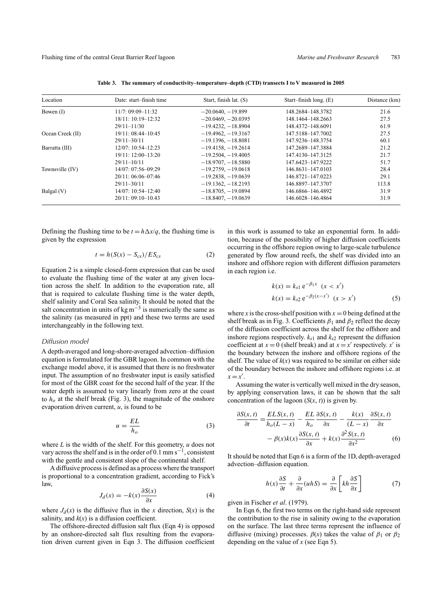| Location         | Date: start-finish time | Start, finish lat. (S)                    | Start-finish long. $(E)$ | Distance (km) |
|------------------|-------------------------|-------------------------------------------|--------------------------|---------------|
| Bowen $(I)$      | $11/7:09:09-11:32$      | $-20.0640, -19.899$                       | 148.2684-148.3782        | 21.6          |
|                  | $18/11: 10:19-12:32$    | $-20.0469, -20.0395$<br>148.1464-148.2663 | 27.5                     |               |
|                  | $29/11 - 11/30$         | $-19.4232, -18.8904$                      | 148.4372-148.6091        | 61.9          |
| Ocean Creek (II) | $19/11:08:44-10:45$     | $-19.4962, -19.3167$                      | 147.5188-147.7002        | 27.5          |
|                  | $29/11 - 30/11$         | $-19.1396, -18.8081$                      | 147.9236-148.3754        | 60.1          |
| Barratta (III)   | $12/07: 10:54 - 12:23$  | $-19.4158, -19.2614$                      | 147.2689-147.3884        | 21.2          |
|                  | $19/11: 12:00-13:20$    | $-19.2504, -19.4005$                      | 147.4130-147.3125        | 21.7          |
|                  | $29/11 - 10/11$         | $-18.9707, -18.5880$                      | 147.6423-147.9222        | 51.7          |
| Townsville (IV)  | 14/07: 07:56-09:29      | $-19.2759, -19.0618$                      | 146.8631-147.0103        | 28.4          |
|                  | $20/11:06:06-07:46$     | $-19.2838, -19.0639$                      | 146.8721-147.0223        | 29.1          |
|                  | $29/11 - 30/11$         | $-19.1362, -18.2193$                      | 146.8897-147.3707        | 113.8         |
| Balgal (V)       | $14/07: 10:54-12:40$    | $-18.8705, -19.0894$                      | 146.6866-146.4892        | 31.9          |
|                  | $20/11:09:10-10.43$     | $-18.8407, -19.0639$                      | 146.6028-146.4864        | 31.9          |

**Table 3. The summary of conductivity–temperature–depth (CTD) transects I to V measured in 2005**

Defining the flushing time to be  $t = h\Delta x/q$ , the flushing time is given by the expression

$$
t = h(S(x) - S_{cs})/ES_{cs}
$$
 (2)

Equation 2 is a simple closed-form expression that can be used to evaluate the flushing time of the water at any given location across the shelf. In addition to the evaporation rate, all that is required to calculate flushing time is the water depth, shelf salinity and Coral Sea salinity. It should be noted that the salt concentration in units of kg m<sup> $-3$ </sup> is numerically the same as the salinity (as measured in ppt) and these two terms are used interchangeably in the following text.

## *Diffusion model*

A depth-averaged and long-shore-averaged advection–diffusion equation is formulated for the GBR lagoon. In common with the exchange model above, it is assumed that there is no freshwater input. The assumption of no freshwater input is easily satisfied for most of the GBR coast for the second half of the year. If the water depth is assumed to vary linearly from zero at the coast to  $h<sub>o</sub>$  at the shelf break (Fig. 3), the magnitude of the onshore evaporation driven current, *u*, is found to be

$$
u = \frac{EL}{h_o} \tag{3}
$$

where *L* is the width of the shelf. For this geometry, *u* does not vary across the shelf and is in the order of 0.1 mm s<sup> $-1$ </sup>, consistent with the gentle and consistent slope of the continental shelf.

A diffusive process is defined as a process where the transport is proportional to a concentration gradient, according to Fick's law,

$$
J_d(x) = -k(x)\frac{\partial S(x)}{\partial x} \tag{4}
$$

where  $J_d(x)$  is the diffusive flux in the *x* direction,  $S(x)$  is the salinity, and  $k(x)$  is a diffusion coefficient.

The offshore-directed diffusion salt flux (Eqn 4) is opposed by an onshore-directed salt flux resulting from the evaporation driven current given in Eqn 3. The diffusion coefficient in this work is assumed to take an exponential form. In addition, because of the possibility of higher diffusion coefficients occurring in the offshore region owing to large-scale turbulence generated by flow around reefs, the shelf was divided into an inshore and offshore region with different diffusion parameters in each region i.e.

$$
k(x) = k_{s1} e^{-\beta_1 x} (x < x')
$$
  
\n
$$
k(x) = k_{s2} e^{-\beta_2 (x - x')} (x > x')
$$
\n(5)

where *x* is the cross-shelf position with  $x = 0$  being defined at the shelf break as in Fig. 3. Coefficients  $\beta_1$  and  $\beta_2$  reflect the decay of the diffusion coefficient across the shelf for the offshore and inshore regions respectively.  $k_{s1}$  and  $k_{s2}$  represent the diffusion coefficient at  $x = 0$  (shelf break) and at  $x = x'$  respectively. *x'* is the boundary between the inshore and offshore regions of the shelf. The value of  $k(x)$  was required to be similar on either side of the boundary between the inshore and offshore regions i.e. at  $x = x'$ .

Assuming the water is vertically well mixed in the dry season, by applying conservation laws, it can be shown that the salt concentration of the lagoon  $(S(x, t))$  is given by.

$$
\frac{\partial S(x,t)}{\partial t} = \frac{ELS(x,t)}{h_o(L-x)} - \frac{EL}{h_o} \frac{\partial S(x,t)}{\partial x} - \frac{k(x)}{(L-x)} \frac{\partial S(x,t)}{\partial x}
$$

$$
- \beta(x)k(x)\frac{\partial S(x,t)}{\partial x} + k(x)\frac{\partial^2 S(x,t)}{\partial x^2}
$$
(6)

It should be noted that Eqn 6 is a form of the 1D, depth-averaged advection–diffusion equation.

$$
h(x)\frac{\partial S}{\partial t} + \frac{\partial}{\partial x}(uhS) = \frac{\partial}{\partial x}\left[kh\frac{\partial S}{\partial x}\right]
$$
(7)

given in Fischer *et al*. (1979).

In Eqn 6, the first two terms on the right-hand side represent the contribution to the rise in salinity owing to the evaporation on the surface. The last three terms represent the influence of diffusive (mixing) processes.  $\beta(x)$  takes the value of  $\beta_1$  or  $\beta_2$ depending on the value of *x* (see Eqn 5).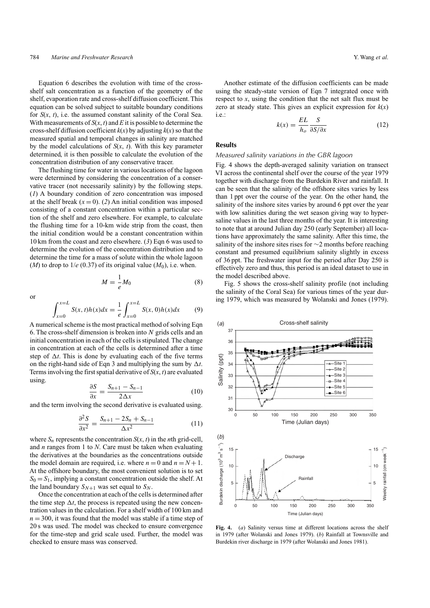Equation 6 describes the evolution with time of the crossshelf salt concentration as a function of the geometry of the shelf, evaporation rate and cross-shelf diffusion coefficient. This equation can be solved subject to suitable boundary conditions for  $S(x, t)$ , i.e. the assumed constant salinity of the Coral Sea. With measurements of  $S(x, t)$  and  $E$  it is possible to determine the cross-shelf diffusion coefficient  $k(x)$  by adjusting  $k(x)$  so that the measured spatial and temporal changes in salinity are matched by the model calculations of  $S(x, t)$ . With this key parameter determined, it is then possible to calculate the evolution of the concentration distribution of any conservative tracer.

The flushing time for water in various locations of the lagoon were determined by considering the concentration of a conservative tracer (not necessarily salinity) by the following steps. (*1*) A boundary condition of zero concentration was imposed at the shelf break  $(x = 0)$ . (2) An initial condition was imposed consisting of a constant concentration within a particular section of the shelf and zero elsewhere. For example, to calculate the flushing time for a 10-km wide strip from the coast, then the initial condition would be a constant concentration within 10 km from the coast and zero elsewhere. (*3*) Eqn 6 was used to determine the evolution of the concentration distribution and to determine the time for a mass of solute within the whole lagoon (*M*) to drop to  $1/e$  (0.37) of its original value ( $M_0$ ), i.e. when.

$$
M = -\frac{1}{e}M_0\tag{8}
$$

or

$$
\int_{x=0}^{x=L} S(x,t)h(x)dx = \frac{1}{e} \int_{x=0}^{x=L} S(x,0)h(x)dx
$$
 (9)

A numerical scheme is the most practical method of solving Eqn 6. The cross-shelf dimension is broken into *N* grids cells and an initial concentration in each of the cells is stipulated. The change in concentration at each of the cells is determined after a time step of  $\Delta t$ . This is done by evaluating each of the five terms on the right-hand side of Eqn 3 and multiplying the sum by  $\Delta t$ . Terms involving the first spatial derivative of  $S(x, t)$  are evaluated using.

$$
\frac{\partial S}{\partial x} = \frac{S_{n+1} - S_{n-1}}{2\Delta x} \tag{10}
$$

and the term involving the second derivative is evaluated using.

$$
\frac{\partial^2 S}{\partial x^2} = \frac{S_{n+1} - 2S_n + S_{n-1}}{\Delta x^2} \tag{11}
$$

where  $S_n$  represents the concentration  $S(x, t)$  in the *n*th grid-cell, and *n* ranges from 1 to *N*. Care must be taken when evaluating the derivatives at the boundaries as the concentrations outside the model domain are required, i.e. where  $n = 0$  and  $n = N + 1$ . At the offshore boundary, the most convenient solution is to set  $S_0 = S_1$ , implying a constant concentration outside the shelf. At the land boundary  $S_{N+1}$  was set equal to  $S_N$ .

Once the concentration at each of the cells is determined after the time step  $\Delta t$ , the process is repeated using the new concentration values in the calculation. For a shelf width of 100 km and  $n = 300$ , it was found that the model was stable if a time step of 20 s was used. The model was checked to ensure convergence for the time-step and grid scale used. Further, the model was checked to ensure mass was conserved.

Another estimate of the diffusion coefficients can be made using the steady-state version of Eqn 7 integrated once with respect to *x*, using the condition that the net salt flux must be zero at steady state. This gives an explicit expression for  $k(x)$ i.e.:

$$
k(x) = \frac{EL}{h_o} \frac{S}{\partial S/\partial x}
$$
 (12)

#### **Results**

# *Measured salinity variations in the GBR lagoon*

Fig. 4 shows the depth-averaged salinity variation on transect VI across the continental shelf over the course of the year 1979 together with discharge from the Burdekin River and rainfall. It can be seen that the salinity of the offshore sites varies by less than 1 ppt over the course of the year. On the other hand, the salinity of the inshore sites varies by around 6 ppt over the year with low salinities during the wet season giving way to hypersaline values in the last three months of the year. It is interesting to note that at around Julian day 250 (early September) all locations have approximately the same salinity. After this time, the salinity of the inshore sites rises for ∼2 months before reaching constant and presumed equilibrium salinity slightly in excess of 36 ppt. The freshwater input for the period after Day 250 is effectively zero and thus, this period is an ideal dataset to use in the model described above.

Fig. 5 shows the cross-shelf salinity profile (not including the salinity of the Coral Sea) for various times of the year during 1979, which was measured by Wolanski and Jones (1979).



**Fig. 4.** (*a*) Salinity versus time at different locations across the shelf in 1979 (after Wolanski and Jones 1979). (*b*) Rainfall at Townsville and Burdekin river discharge in 1979 (after Wolanski and Jones 1981).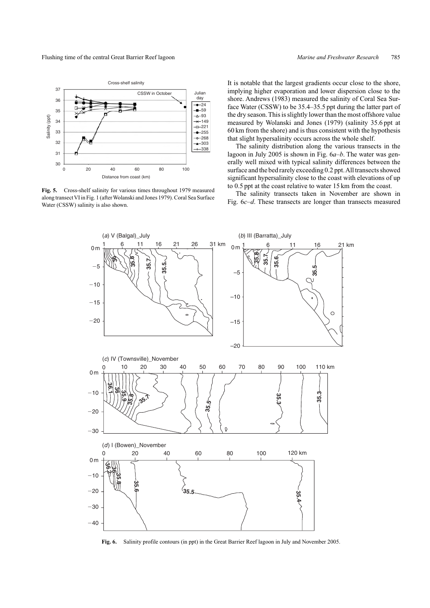

**Fig. 5.** Cross-shelf salinity for various times throughout 1979 measured along transectVI in Fig. 1 (afterWolanski and Jones 1979). Coral Sea Surface Water (CSSW) salinity is also shown.

It is notable that the largest gradients occur close to the shore, implying higher evaporation and lower dispersion close to the shore. Andrews (1983) measured the salinity of Coral Sea Surface Water (CSSW) to be 35.4–35.5 ppt during the latter part of the dry season.This is slightly lower than the most offshore value measured by Wolanski and Jones (1979) (salinity 35.6 ppt at 60 km from the shore) and is thus consistent with the hypothesis that slight hypersalinity occurs across the whole shelf.

The salinity distribution along the various transects in the lagoon in July 2005 is shown in Fig. 6*a*–*b*. The water was generally well mixed with typical salinity differences between the surface and the bed rarely exceeding 0.2 ppt.All transects showed significant hypersalinity close to the coast with elevations of up to 0.5 ppt at the coast relative to water 15 km from the coast.

The salinity transects taken in November are shown in Fig. 6*c*–*d*. These transects are longer than transects measured



**Fig. 6.** Salinity profile contours (in ppt) in the Great Barrier Reef lagoon in July and November 2005.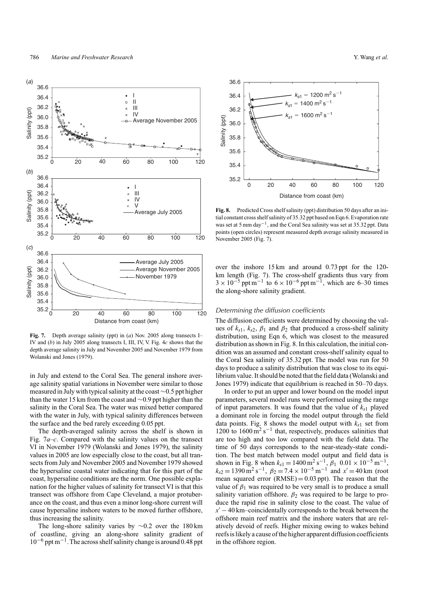

**Fig. 7.** Depth average salinity (ppt) in (*a*) Nov. 2005 along transects I– IV and (*b*) in July 2005 along transects I, III, IV, V. Fig. 4*c* shows that the depth average salinity in July and November 2005 and November 1979 from Wolanski and Jones (1979).

in July and extend to the Coral Sea. The general inshore average salinity spatial variations in November were similar to those measured in July with typical salinity at the coast∼0.5 ppt higher than the water 15 km from the coast and ∼0.9 ppt higher than the salinity in the Coral Sea. The water was mixed better compared with the water in July, with typical salinity differences between the surface and the bed rarely exceeding 0.05 ppt.

The depth-averaged salinity across the shelf is shown in Fig. 7*a*–*c*. Compared with the salinity values on the transect VI in November 1979 (Wolanski and Jones 1979), the salinity values in 2005 are low especially close to the coast, but all transects from July and November 2005 and November 1979 showed the hypersaline coastal water indicating that for this part of the coast, hypersaline conditions are the norm. One possible explanation for the higher values of salinity for transect VI is that this transect was offshore from Cape Cleveland, a major protuberance on the coast, and thus even a minor long-shore current will cause hypersaline inshore waters to be moved further offshore, thus increasing the salinity.

The long-shore salinity varies by ∼0.2 over the 180 km of coastline, giving an along-shore salinity gradient of 10−<sup>6</sup> ppt m<sup>−</sup>1.The across shelf salinity change is around 0.48 ppt



**Fig. 8.** Predicted Cross shelf salinity (ppt) distribution 50 days after an initial constant cross shelf salinity of 35.32 ppt based on Eqn 6. Evaporation rate was set at 5 mm day<sup>−</sup>1, and the Coral Sea salinity was set at 35.32 ppt. Data points (open circles) represent measured depth average salinity measured in November 2005 (Fig. 7).

over the inshore 15 km and around 0.73 ppt for the 120 km length (Fig. 7). The cross-shelf gradients thus vary from  $3 \times 10^{-5}$  ppt m<sup>-1</sup> to  $6 \times 10^{-6}$  ppt m<sup>-1</sup>, which are 6–30 times the along-shore salinity gradient.

## *Determining the diffusion coefficients*

The diffusion coefficients were determined by choosing the values of  $k_{s1}$ ,  $k_{s2}$ ,  $\beta_1$  and  $\beta_2$  that produced a cross-shelf salinity distribution, using Eqn 6, which was closest to the measured distribution as shown in Fig. 8. In this calculation, the initial condition was an assumed and constant cross-shelf salinity equal to the Coral Sea salinity of 35.32 ppt. The model was run for 50 days to produce a salinity distribution that was close to its equilibrium value. It should be noted that the field data (Wolanski and Jones 1979) indicate that equilibrium is reached in 50–70 days.

In order to put an upper and lower bound on the model input parameters, several model runs were performed using the range of input parameters. It was found that the value of *ks*<sup>1</sup> played a dominant role in forcing the model output through the field data points. Fig. 8 shows the model output with  $k_{s1}$  set from 1200 to 1600  $\text{m}^2$  s<sup>-1</sup> that, respectively, produces salinities that are too high and too low compared with the field data. The time of 50 days corresponds to the near-steady-state condition. The best match between model output and field data is shown in Fig. 8 when  $k_{s1} = 1400 \text{ m}^2 \text{ s}^{-1}$ ,  $\beta_1$  0.01 × 10<sup>-5</sup> m<sup>-1</sup>,  $k_{s2} = 1390 \text{ m}^2 \text{ s}^{-1}$ ,  $\beta_2 = 7.4 \times 10^{-5} \text{ m}^{-1}$  and  $x' = 40 \text{ km}$  (root mean squared error  $(RMSE) = 0.03$  ppt). The reason that the value of  $\beta_1$  was required to be very small is to produce a small salinity variation offshore.  $\beta_2$  was required to be large to produce the rapid rise in salinity close to the coast. The value of *x*<sup> $/$ </sup> − 40 km–coincidentally corresponds to the break between the offshore main reef matrix and the inshore waters that are relatively devoid of reefs. Higher mixing owing to wakes behind reefs is likely a cause of the higher apparent diffusion coefficients in the offshore region.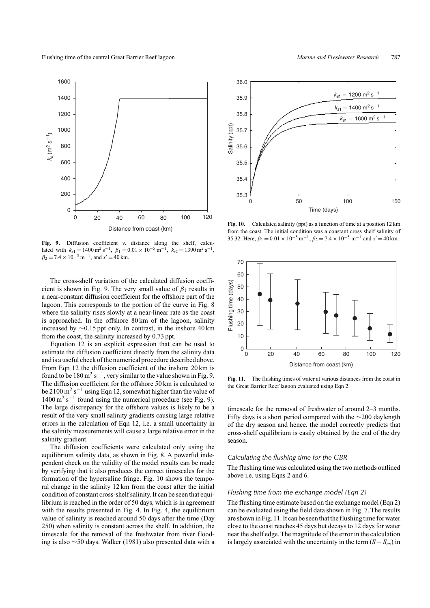

**Fig. 9.** Diffusion coefficient *v*. distance along the shelf, calculated with  $k_{s1} = 1400 \text{ m}^2 \text{ s}^{-1}$ ,  $\beta_1 = 0.01 \times 10^{-5} \text{ m}^{-1}$ ,  $k_{s2} = 1390 \text{ m}^2 \text{ s}^{-1}$ ,  $\beta_2 = 7.4 \times 10^{-5}$  m<sup>-1</sup>, and  $x' = 40$  km.

The cross-shelf variation of the calculated diffusion coefficient is shown in Fig. 9. The very small value of  $\beta_1$  results in a near-constant diffusion coefficient for the offshore part of the lagoon. This corresponds to the portion of the curve in Fig. 8 where the salinity rises slowly at a near-linear rate as the coast is approached. In the offshore 80 km of the lagoon, salinity increased by ∼0.15 ppt only. In contrast, in the inshore 40 km from the coast, the salinity increased by 0.73 ppt.

Equation 12 is an explicit expression that can be used to estimate the diffusion coefficient directly from the salinity data and is a useful check of the numerical procedure described above. From Eqn 12 the diffusion coefficient of the inshore 20 km is found to be  $180 \text{ m}^2 \text{ s}^{-1}$ , very similar to the value shown in Fig. 9. The diffusion coefficient for the offshore 50 km is calculated to be 2100 m<sup>2</sup> s<sup>-1</sup> using Eqn 12, somewhat higher than the value of  $1400 \text{ m}^2 \text{ s}^{-1}$  found using the numerical procedure (see Fig. 9). The large discrepancy for the offshore values is likely to be a result of the very small salinity gradients causing large relative errors in the calculation of Eqn 12, i.e. a small uncertainty in the salinity measurements will cause a large relative error in the salinity gradient.

The diffusion coefficients were calculated only using the equilibrium salinity data, as shown in Fig. 8. A powerful independent check on the validity of the model results can be made by verifying that it also produces the correct timescales for the formation of the hypersaline fringe. Fig. 10 shows the temporal change in the salinity 12 km from the coast after the initial condition of constant cross-shelf salinity. It can be seen that equilibrium is reached in the order of 50 days, which is in agreement with the results presented in Fig. 4. In Fig. 4, the equilibrium value of salinity is reached around 50 days after the time (Day 250) when salinity is constant across the shelf. In addition, the timescale for the removal of the freshwater from river flooding is also ∼50 days. Walker (1981) also presented data with a



**Fig. 10.** Calculated salinity (ppt) as a function of time at a position 12 km from the coast. The initial condition was a constant cross shelf salinity of 35.32. Here,  $\beta_1 = 0.01 \times 10^{-5} \text{ m}^{-1}$ ,  $\beta_2 = 7.4 \times 10^{-5} \text{ m}^{-1}$  and  $x' = 40 \text{ km}$ .



**Fig. 11.** The flushing times of water at various distances from the coast in the Great Barrier Reef lagoon evaluated using Eqn 2.

timescale for the removal of freshwater of around 2–3 months. Fifty days is a short period compared with the ∼200 daylength of the dry season and hence, the model correctly predicts that cross-shelf equilibrium is easily obtained by the end of the dry season.

#### *Calculating the flushing time for the GBR*

The flushing time was calculated using the two methods outlined above i.e. using Eqns 2 and 6.

## *Flushing time from the exchange model (Eqn 2)*

The flushing time estimate based on the exchange model (Eqn 2) can be evaluated using the field data shown in Fig. 7. The results are shown in Fig. 11. It can be seen that the flushing time for water close to the coast reaches 45 days but decays to 12 days for water near the shelf edge. The magnitude of the error in the calculation is largely associated with the uncertainty in the term  $(S - S_{cs})$  in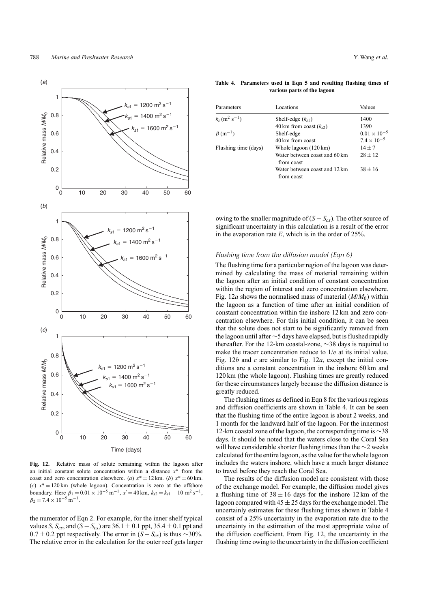

**Fig. 12.** Relative mass of solute remaining within the lagoon after an initial constant solute concentration within a distance *x*\* from the coast and zero concentration elsewhere. (*a*)  $x^* = 12 \text{ km}$ . (*b*)  $x^* = 60 \text{ km}$ . (*c*)  $x^* = 120$  km (whole lagoon). Concentration is zero at the offshore boundary. Here  $\beta_1 = 0.01 \times 10^{-5} \text{ m}^{-1}$ ,  $x' = 40 \text{ km}$ ,  $k_{s2} = k_{s1} - 10 \text{ m}^2 \text{ s}^{-1}$ ,  $\beta_2 = 7.4 \times 10^{-5}$  m<sup>-1</sup>.

the numerator of Eqn 2. For example, for the inner shelf typical values *S*,  $S_{cs}$ , and  $(S - S_{cs})$  are 36.1  $\pm$  0.1 ppt, 35.4  $\pm$  0.1 ppt and  $0.7 \pm 0.2$  ppt respectively. The error in  $(S - S_{cs})$  is thus ∼30%. The relative error in the calculation for the outer reef gets larger

Parameters Locations Values  $k_s$  (m<sup>2</sup> s<sup>-1</sup>) Shelf-edge ( $k_{s1}$ ) 1400 40 km from coast (*ks*2) 1390  $\beta$  (m<sup>-1</sup>) Shelf-edge 0.01 × 10<sup>-5</sup> 40 km from coast  $7.4 \times 10^{-5}$ Flushing time (days) Whole lagoon (120 km)  $14 \pm 7$ <br>Water between coast and 60 km  $28 \pm 12$ 

from coast

from coast

Water between coast and 60 km

Water between coast and  $12 \text{ km}$   $38 + 16$ 

|                             | Table 4. Parameters used in Eqn 5 and resulting flushing times of |  |  |  |  |  |  |
|-----------------------------|-------------------------------------------------------------------|--|--|--|--|--|--|
| various parts of the lagoon |                                                                   |  |  |  |  |  |  |

owing to the smaller magnitude of  $(S - S_{cs})$ . The other source of significant uncertainty in this calculation is a result of the error in the evaporation rate *E*, which is in the order of 25%.

# *Flushing time from the diffusion model (Eqn 6)*

The flushing time for a particular region of the lagoon was determined by calculating the mass of material remaining within the lagoon after an initial condition of constant concentration within the region of interest and zero concentration elsewhere. Fig. 12*a* shows the normalised mass of material (*M*/*M*0) within the lagoon as a function of time after an initial condition of constant concentration within the inshore 12 km and zero concentration elsewhere. For this initial condition, it can be seen that the solute does not start to be significantly removed from the lagoon until after ∼5 days have elapsed, but is flushed rapidly thereafter. For the 12-km coastal-zone, ∼38 days is required to make the tracer concentration reduce to 1/*e* at its initial value. Fig. 12*b* and *c* are similar to Fig. 12*a*, except the initial conditions are a constant concentration in the inshore 60 km and 120 km (the whole lagoon). Flushing times are greatly reduced for these circumstances largely because the diffusion distance is greatly reduced.

The flushing times as defined in Eqn 8 for the various regions and diffusion coefficients are shown in Table 4. It can be seen that the flushing time of the entire lagoon is about 2 weeks, and 1 month for the landward half of the lagoon. For the innermost 12-km coastal zone of the lagoon, the corresponding time is ∼38 days. It should be noted that the waters close to the Coral Sea will have considerable shorter flushing times than the ∼2 weeks calculated for the entire lagoon, as the value for the whole lagoon includes the waters inshore, which have a much larger distance to travel before they reach the Coral Sea.

The results of the diffusion model are consistent with those of the exchange model. For example, the diffusion model gives a flushing time of  $38 \pm 16$  days for the inshore 12 km of the lagoon compared with  $45 \pm 25$  days for the exchange model. The uncertainly estimates for these flushing times shown in Table 4 consist of a 25% uncertainty in the evaporation rate due to the uncertainty in the estimation of the most appropriate value of the diffusion coefficient. From Fig. 12, the uncertainty in the flushing time owing to the uncertainty in the diffusion coefficient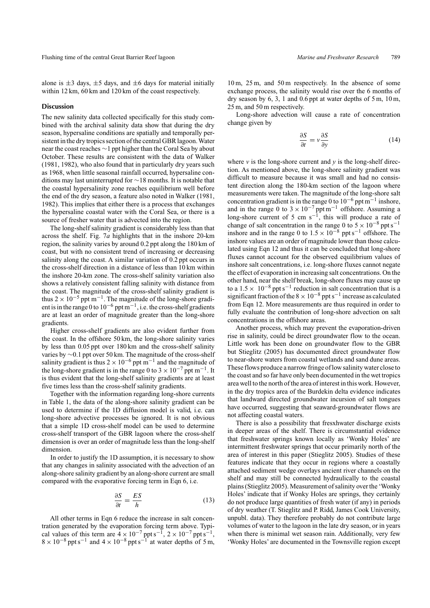alone is  $\pm 3$  days,  $\pm 5$  days, and  $\pm 6$  days for material initially within 12 km, 60 km and 120 km of the coast respectively.

# **Discussion**

The new salinity data collected specifically for this study combined with the archival salinity data show that during the dry season, hypersaline conditions are spatially and temporally persistent in the dry tropics section of the central GBR lagoon.Water near the coast reaches ∼1 ppt higher than the Coral Sea by about October. These results are consistent with the data of Walker (1981, 1982), who also found that in particularly dry years such as 1968, when little seasonal rainfall occurred, hypersaline conditions may last uninterrupted for ∼18 months. It is notable that the coastal hypersalinity zone reaches equilibrium well before the end of the dry season, a feature also noted in Walker (1981, 1982). This implies that either there is a process that exchanges the hypersaline coastal water with the Coral Sea, or there is a source of fresher water that is advected into the region.

The long-shelf salinity gradient is considerably less than that across the shelf. Fig. 7*a* highlights that in the inshore 20-km region, the salinity varies by around 0.2 ppt along the 180 km of coast, but with no consistent trend of increasing or decreasing salinity along the coast. A similar variation of 0.2 ppt occurs in the cross-shelf direction in a distance of less than 10 km within the inshore 20-km zone. The cross-shelf salinity variation also shows a relatively consistent falling salinity with distance from the coast. The magnitude of the cross-shelf salinity gradient is thus  $2 \times 10^{-5}$  ppt m<sup>-1</sup>. The magnitude of the long-shore gradient is in the range 0 to  $10^{-6}$  ppt m<sup>-1</sup>, i.e. the cross-shelf gradients are at least an order of magnitude greater than the long-shore gradients.

Higher cross-shelf gradients are also evident further from the coast. In the offshore 50 km, the long-shore salinity varies by less than 0.05 ppt over 180 km and the cross-shelf salinity varies by ∼0.1 ppt over 50 km. The magnitude of the cross-shelf salinity gradient is thus  $2 \times 10^{-6}$  ppt m<sup>-1</sup> and the magnitude of the long-shore gradient is in the range 0 to  $3 \times 10^{-7}$  ppt m<sup>-1</sup>. It is thus evident that the long-shelf salinity gradients are at least five times less than the cross-shelf salinity gradients.

Together with the information regarding long-shore currents in Table 1, the data of the along-shore salinity gradient can be used to determine if the 1D diffusion model is valid, i.e. can long-shore advective processes be ignored. It is not obvious that a simple 1D cross-shelf model can be used to determine cross-shelf transport of the GBR lagoon where the cross-shelf dimension is over an order of magnitude less than the long-shelf dimension.

In order to justify the 1D assumption, it is necessary to show that any changes in salinity associated with the advection of an along-shore salinity gradient by an along-shore current are small compared with the evaporative forcing term in Eqn 6, i.e.

$$
\frac{\partial S}{\partial t} = \frac{ES}{h} \tag{13}
$$

All other terms in Eqn 6 reduce the increase in salt concentration generated by the evaporation forcing term above. Typical values of this term are  $4 \times 10^{-7}$  ppt s<sup>-1</sup>,  $2 \times 10^{-7}$  ppt s<sup>-1</sup>,  $8 \times 10^{-8}$  ppt s<sup>-1</sup> and  $4 \times 10^{-8}$  ppt s<sup>-1</sup> at water depths of 5 m,

10 m, 25 m, and 50 m respectively. In the absence of some exchange process, the salinity would rise over the 6 months of dry season by 6, 3, 1 and 0.6 ppt at water depths of 5 m, 10 m, 25 m, and 50 m respectively.

Long-shore advection will cause a rate of concentration change given by

$$
\frac{\partial S}{\partial t} = v \frac{\partial S}{\partial y} \tag{14}
$$

where  $\nu$  is the long-shore current and  $\nu$  is the long-shelf direction. As mentioned above, the long-shore salinity gradient was difficult to measure because it was small and had no consistent direction along the 180-km section of the lagoon where measurements were taken. The magnitude of the long-shore salt concentration gradient is in the range 0 to  $10^{-6}$  ppt m<sup>-1</sup> inshore, and in the range 0 to  $3 \times 10^{-7}$  ppt m<sup>-1</sup> offshore. Assuming a long-shore current of 5 cm s<sup>-1</sup>, this will produce a rate of change of salt concentration in the range 0 to  $5 \times 10^{-8}$  ppt s<sup>-1</sup> inshore and in the range 0 to  $1.5 \times 10^{-8}$  ppt s<sup>-1</sup> offshore. The inshore values are an order of magnitude lower than those calculated using Eqn 12 and thus it can be concluded that long-shore fluxes cannot account for the observed equilibrium values of inshore salt concentrations, i.e. long-shore fluxes cannot negate the effect of evaporation in increasing salt concentrations. On the other hand, near the shelf break, long-shore fluxes may cause up to a  $1.5 \times 10^{-8}$  ppt s<sup>-1</sup> reduction in salt concentration that is a significant fraction of the  $8 \times 10^{-8}$  ppt s<sup>-1</sup> increase as calculated from Eqn 12. More measurements are thus required in order to fully evaluate the contribution of long-shore advection on salt concentrations in the offshore areas.

Another process, which may prevent the evaporation-driven rise in salinity, could be direct groundwater flow to the ocean. Little work has been done on groundwater flow to the GBR but Stieglitz (2005) has documented direct groundwater flow to near-shore waters from coastal wetlands and sand dune areas. These flows produce a narrow fringe of low salinity water close to the coast and so far have only been documented in the wet tropics area well to the north of the area of interest in this work. However, in the dry tropics area of the Burdekin delta evidence indicates that landward directed groundwater incursion of salt tongues have occurred, suggesting that seaward-groundwater flows are not affecting coastal waters.

There is also a possibility that fresxhwater discharge exists in deeper areas of the shelf. There is circumstantial evidence that freshwater springs known locally as 'Wonky Holes' are intermittent freshwater springs that occur primarily north of the area of interest in this paper (Stieglitz 2005). Studies of these features indicate that they occur in regions where a coastally attached sediment wedge overlays ancient river channels on the shelf and may still be connected hydraulically to the coastal plains (Stieglitz 2005). Measurement of salinity over the 'Wonky Holes' indicate that if Wonky Holes are springs, they certainly do not produce large quantities of fresh water (if any) in periods of dry weather (T. Stieglitz and P. Ridd, James Cook University, unpubl. data). They therefore probably do not contribute large volumes of water to the lagoon in the late dry season, or in years when there is minimal wet season rain. Additionally, very few 'Wonky Holes' are documented in the Townsville region except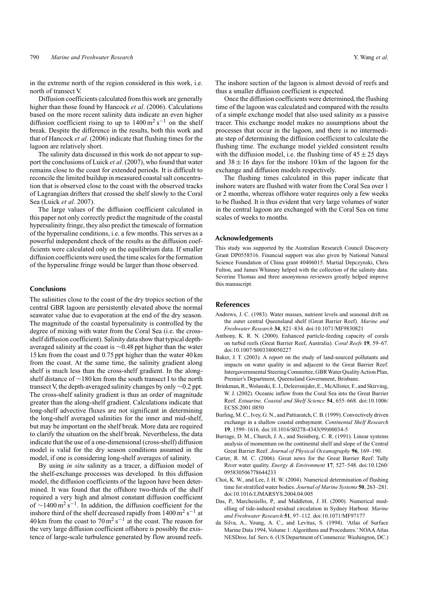in the extreme north of the region considered in this work, i.e. north of transect V.

Diffusion coefficients calculated from this work are generally higher than those found by Hancock *et al*. (2006). Calculations based on the more recent salinity data indicate an even higher diffusion coefficient rising to up to  $1400 \text{ m}^2 \text{ s}^{-1}$  on the shelf break. Despite the difference in the results, both this work and that of Hancock *et al*. (2006) indicate that flushing times for the lagoon are relatively short.

The salinity data discussed in this work do not appear to support the conclusions of Luick *et al*. (2007), who found that water remains close to the coast for extended periods. It is difficult to reconcile the limited buildup in measured coastal salt concentration that is observed close to the coast with the observed tracks of Lagrangian drifters that crossed the shelf slowly to the Coral Sea (Luick *et al*. 2007).

The large values of the diffusion coefficient calculated in this paper not only correctly predict the magnitude of the coastal hypersalinity fringe, they also predict the timescale of formation of the hypersaline conditions, i.e. a few months. This serves as a powerful independent check of the results as the diffusion coefficients were calculated only on the equilibrium data. If smaller diffusion coefficients were used, the time scales for the formation of the hypersaline fringe would be larger than those observed.

## **Conclusions**

The salinities close to the coast of the dry tropics section of the central GBR lagoon are persistently elevated above the normal seawater value due to evaporation at the end of the dry season. The magnitude of the coastal hypersalinity is controlled by the degree of mixing with water from the Coral Sea (i.e. the crossshelf diffusion coefficient). Salinity data show that typical depthaveraged salinity at the coast is ∼0.48 ppt higher than the water 15 km from the coast and 0.75 ppt higher than the water 40 km from the coast. At the same time, the salinity gradient along shelf is much less than the cross-shelf gradient. In the alongshelf distance of ∼180 km from the south transect I to the north transect V, the depth-averaged salinity changes by only ∼0.2 ppt. The cross-shelf salinity gradient is thus an order of magnitude greater than the along-shelf gradient. Calculations indicate that long-shelf advective fluxes are not significant in determining the long-shelf averaged salinities for the inner and mid-shelf, but may be important on the shelf break. More data are required to clarify the situation on the shelf break. Nevertheless, the data indicate that the use of a one-dimensional (cross-shelf) diffusion model is valid for the dry season conditions assumed in the model, if one is considering long-shelf averages of salinity.

By using *in situ* salinity as a tracer, a diffusion model of the shelf-exchange processes was developed. In this diffusion model, the diffusion coefficients of the lagoon have been determined. It was found that the offshore two-thirds of the shelf required a very high and almost constant diffusion coefficient of ~1400 m<sup>2</sup> s<sup>-1</sup>. In addition, the diffusion coefficient for the inshore third of the shelf decreased rapidly from  $1400 \text{ m}^2 \text{ s}^{-1}$  at 40 km from the coast to  $70 \text{ m}^2 \text{ s}^{-1}$  at the coast. The reason for the very large diffusion coefficient offshore is possibly the existence of large-scale turbulence generated by flow around reefs.

The inshore section of the lagoon is almost devoid of reefs and thus a smaller diffusion coefficient is expected.

Once the diffusion coefficients were determined, the flushing time of the lagoon was calculated and compared with the results of a simple exchange model that also used salinity as a passive tracer. This exchange model makes no assumptions about the processes that occur in the lagoon, and there is no intermediate step of determining the diffusion coefficient to calculate the flushing time. The exchange model yielded consistent results with the diffusion model, i.e. the flushing time of  $45 \pm 25$  days and  $38 \pm 16$  days for the inshore 10 km of the lagoon for the exchange and diffusion models respectively.

The flushing times calculated in this paper indicate that inshore waters are flushed with water from the Coral Sea over 1 or 2 months, whereas offshore water requires only a few weeks to be flushed. It is thus evident that very large volumes of water in the central lagoon are exchanged with the Coral Sea on time scales of weeks to months.

## **Acknowledgements**

This study was supported by the Australian Research Council Discovery Grant DP0558516. Financial support was also given by National Natural Science Foundation of China grant 40406015. Martial Depczynski, Chris Fulton, and James Whinney helped with the collection of the salinity data. Severine Thomas and three anonymous reviewers greatly helped improve this manuscript.

# **References**

- Andrews, J. C. (1983). Water masses, nutrient levels and seasonal drift on the outer central Queensland shelf (Great Barrier Reef). *Marine and Freshwater Research* **34**, 821–834. doi:10.1071/MF9830821
- Anthony, K. R. N. (2000). Enhanced particle-feeding capacity of corals on turbid reefs (Great Barrier Reef, Australia). *Coral Reefs* **19**, 59–67. doi:10.1007/S003380050227
- Baker, J. T. (2003). A report on the study of land-sourced pollutants and impacts on water quality in and adjacent to the Great Barrier Reef. Intergovernmental Steering Committee, GBRWater QualityAction Plan, Premier's Department, Queensland Government, Brisbane.
- Brinkman, R., Wolanski, E. J., Deleersnijder, E., McAllister, F., and Skirving, W. J. (2002). Oceanic inflow from the Coral Sea into the Great Barrier Reef. *Estuarine, Coastal and Shelf Science* **54**, 655–668. doi:10.1006/ ECSS.2001.0850
- Burling, M. C., Ivey, G. N., and Pattiaratch, C. B. (1999). Convectively driven exchange in a shallow coastal embayment. *Continental Shelf Research* **19**, 1599–1616. doi:10.1016/S0278-4343(99)00034-5
- Burrage, D. M., Church, J. A., and Steinberg, C. R. (1991). Linear systems analysis of momentum on the continental shelf and slope of the Central Great Barrier Reef. *Journal of Physical Oceanography* **96**, 169–190.
- Carter, R. M. C. (2006). Great news for the Great Barrier Reef: Tully River water quality. *Energy & Environment* **17**, 527–548. doi:10.1260/ 095830506778644233
- Choi, K. W., and Lee, J. H. W. (2004). Numerical determination of flushing time for stratified water bodies. *Journal of Marine Systems* **50**, 263–281. doi:10.1016/J.JMARSYS.2004.04.005
- Das, P., Marchesiello, P., and Middleton, J. H. (2000). Numerical modelling of tide-induced residual circulation in Sydney Harbour. *Marine and Freshwater Research* **51**, 97–112. doi:10.1071/MF97177
- da Silva, A., Young, A. C., and Levitus, S. (1994). 'Atlas of Surface Marine Data 1994, Volume 1: Algorithms and Procedures.' NOAA Atlas NESDros. Inf. Serv. 6. (US Department of Commerce: Washington, DC.)